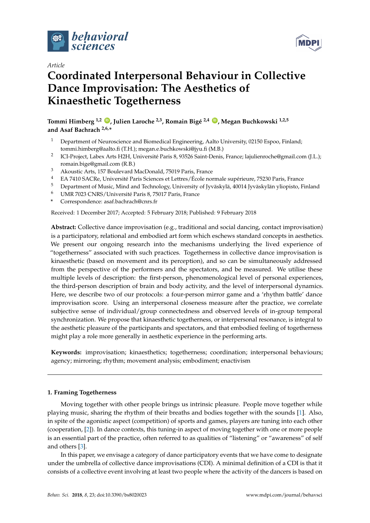



# **Coordinated Interpersonal Behaviour in Collective Dance Improvisation: The Aesthetics of Kinaesthetic Togetherness**

**Tommi Himberg 1,2 [ID](https://orcid.org/0000-0002-3261-0669) , Julien Laroche 2,3, Romain Bigé 2,4 [ID](https://orcid.org/0000-0003-4774-0412) , Megan Buchkowski 1,2,5 and Asaf Bachrach 2,6,\***

- <sup>1</sup> Department of Neuroscience and Biomedical Engineering, Aalto University, 02150 Espoo, Finland; tommi.himberg@aalto.fi (T.H.); megan.e.buchkowski@jyu.fi (M.B.)
- 2 ICI-Project, Labex Arts H2H, Université Paris 8, 93526 Saint-Denis, France; lajulienroche@gmail.com (J.L.); romain.bige@gmail.com (R.B.)
- <sup>3</sup> Akoustic Arts, 157 Boulevard MacDonald, 75019 Paris, France
- <sup>4</sup> EA 7410 SACRe, Université Paris Sciences et Lettres/École normale supérieure, 75230 Paris, France
- <sup>5</sup> Department of Music, Mind and Technology, University of Jyväskylä, 40014 Jyväskylän yliopisto, Finland<br><sup>6</sup> UMP 7023 CNPS (Université Paris 8, 75017 Paris France
- <sup>6</sup> UMR 7023 CNRS/Université Paris 8, 75017 Paris, France
- **\*** Correspondence: asaf.bachrach@cnrs.fr

Received: 1 December 2017; Accepted: 5 February 2018; Published: 9 February 2018

**Abstract:** Collective dance improvisation (e.g., traditional and social dancing, contact improvisation) is a participatory, relational and embodied art form which eschews standard concepts in aesthetics. We present our ongoing research into the mechanisms underlying the lived experience of "togetherness" associated with such practices. Togetherness in collective dance improvisation is kinaesthetic (based on movement and its perception), and so can be simultaneously addressed from the perspective of the performers and the spectators, and be measured. We utilise these multiple levels of description: the first-person, phenomenological level of personal experiences, the third-person description of brain and body activity, and the level of interpersonal dynamics. Here, we describe two of our protocols: a four-person mirror game and a 'rhythm battle' dance improvisation score. Using an interpersonal closeness measure after the practice, we correlate subjective sense of individual/group connectedness and observed levels of in-group temporal synchronization. We propose that kinaesthetic togetherness, or interpersonal resonance, is integral to the aesthetic pleasure of the participants and spectators, and that embodied feeling of togetherness might play a role more generally in aesthetic experience in the performing arts.

**Keywords:** improvisation; kinaesthetics; togetherness; coordination; interpersonal behaviours; agency; mirroring; rhythm; movement analysis; embodiment; enactivism

# **1. Framing Togetherness**

Moving together with other people brings us intrinsic pleasure. People move together while playing music, sharing the rhythm of their breaths and bodies together with the sounds [\[1\]](#page-22-0). Also, in spite of the agonistic aspect (competition) of sports and games, players are tuning into each other (cooperation, [\[2\]](#page-22-1)). In dance contexts, this tuning-in aspect of moving together with one or more people is an essential part of the practice, often referred to as qualities of "listening" or "awareness" of self and others [\[3\]](#page-22-2).

In this paper, we envisage a category of dance participatory events that we have come to designate under the umbrella of collective dance improvisations (CDI). A minimal definition of a CDI is that it consists of a collective event involving at least two people where the activity of the dancers is based on

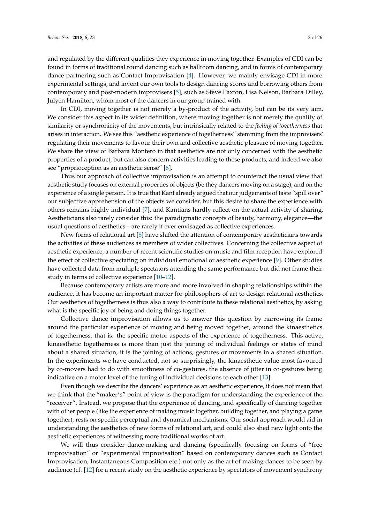and regulated by the different qualities they experience in moving together. Examples of CDI can be found in forms of traditional round dancing such as ballroom dancing, and in forms of contemporary dance partnering such as Contact Improvisation [\[4\]](#page-22-3). However, we mainly envisage CDI in more experimental settings, and invent our own tools to design dancing scores and borrowing others from contemporary and post-modern improvisers [\[5\]](#page-22-4), such as Steve Paxton, Lisa Nelson, Barbara Dilley, Julyen Hamilton, whom most of the dancers in our group trained with.

In CDI, moving together is not merely a by-product of the activity, but can be its very aim. We consider this aspect in its wider definition, where moving together is not merely the quality of similarity or synchronicity of the movements, but intrinsically related to the *feeling of togetherness* that arises in interaction. We see this "aesthetic experience of togetherness" stemming from the improvisers' regulating their movements to favour their own and collective aesthetic pleasure of moving together. We share the view of Barbara Montero in that aesthetics are not only concerned with the aesthetic properties of a product, but can also concern activities leading to these products, and indeed we also see "proprioception as an aesthetic sense" [\[6\]](#page-22-5).

Thus our approach of collective improvisation is an attempt to counteract the usual view that aesthetic study focuses on external properties of objects (be they dancers moving on a stage), and on the experience of a single person. It is true that Kant already argued that our judgements of taste "spill over" our subjective apprehension of the objects we consider, but this desire to share the experience with others remains highly individual [\[7\]](#page-22-6), and Kantians hardly reflect on the actual activity of sharing. Aestheticians also rarely consider this: the paradigmatic concepts of beauty, harmony, elegance—the usual questions of aesthetics—are rarely if ever envisaged as collective experiences.

New forms of relational art [\[8\]](#page-22-7) have shifted the attention of contemporary aestheticians towards the activities of these audiences as members of wider collectives. Concerning the collective aspect of aesthetic experience, a number of recent scientific studies on music and film reception have explored the effect of collective spectating on individual emotional or aesthetic experience [\[9\]](#page-22-8). Other studies have collected data from multiple spectators attending the same performance but did not frame their study in terms of collective experience [\[10–](#page-22-9)[12\]](#page-22-10).

Because contemporary artists are more and more involved in shaping relationships within the audience, it has become an important matter for philosophers of art to design relational aesthetics. Our aesthetics of togetherness is thus also a way to contribute to these relational aesthetics, by asking what is the specific joy of being and doing things together.

Collective dance improvisation allows us to answer this question by narrowing its frame around the particular experience of moving and being moved together, around the kinaesthetics of togetherness, that is: the specific motor aspects of the experience of togetherness. This active, kinaesthetic togetherness is more than just the joining of individual feelings or states of mind about a shared situation, it is the joining of actions, gestures or movements in a shared situation. In the experiments we have conducted, not so surprisingly, the kinaesthetic value most favoured by co-movers had to do with smoothness of co-gestures, the absence of jitter in co-gestures being indicative on a motor level of the tuning of individual decisions to each other [\[13\]](#page-22-11).

Even though we describe the dancers' experience as an aesthetic experience, it does not mean that we think that the "maker's" point of view is the paradigm for understanding the experience of the "receiver". Instead, we propose that the experience of dancing, and specifically of dancing together with other people (like the experience of making music together, building together, and playing a game together), rests on specific perceptual and dynamical mechanisms. Our social approach would aid in understanding the aesthetics of new forms of relational art, and could also shed new light onto the aesthetic experiences of witnessing more traditional works of art.

We will thus consider dance-making and dancing (specifically focusing on forms of "free improvisation" or "experimental improvisation" based on contemporary dances such as Contact Improvisation, Instantaneous Composition etc.) not only as the art of making dances to be seen by audience (cf. [\[12\]](#page-22-10) for a recent study on the aesthetic experience by spectators of movement synchrony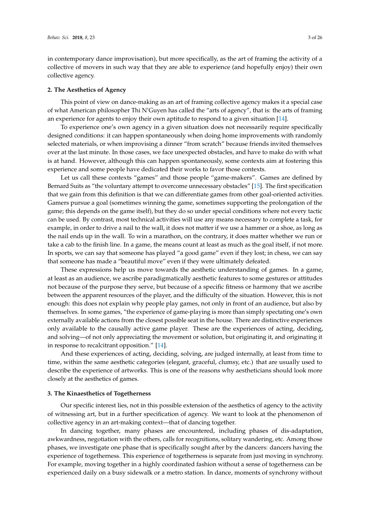in contemporary dance improvisation), but more specifically, as the art of framing the activity of a collective of movers in such way that they are able to experience (and hopefully enjoy) their own collective agency.

#### **2. The Aesthetics of Agency**

This point of view on dance-making as an art of framing collective agency makes it a special case of what American philosopher Thi N'Guyen has called the "arts of agency", that is: the arts of framing an experience for agents to enjoy their own aptitude to respond to a given situation [\[14\]](#page-22-12).

To experience one's own agency in a given situation does not necessarily require specifically designed conditions: it can happen spontaneously when doing home improvements with randomly selected materials, or when improvising a dinner "from scratch" because friends invited themselves over at the last minute. In those cases, we face unexpected obstacles, and have to make do with what is at hand. However, although this can happen spontaneously, some contexts aim at fostering this experience and some people have dedicated their works to favor those contexts.

Let us call these contexts "games" and those people "game-makers". Games are defined by Bernard Suits as "the voluntary attempt to overcome unnecessary obstacles" [\[15\]](#page-22-13). The first specification that we gain from this definition is that we can differentiate games from other goal-oriented activities. Gamers pursue a goal (sometimes winning the game, sometimes supporting the prolongation of the game; this depends on the game itself), but they do so under special conditions where not every tactic can be used. By contrast, most technical activities will use any means necessary to complete a task, for example, in order to drive a nail to the wall, it does not matter if we use a hammer or a shoe, as long as the nail ends up in the wall. To win a marathon, on the contrary, it does matter whether we run or take a cab to the finish line. In a game, the means count at least as much as the goal itself, if not more. In sports, we can say that someone has played "a good game" even if they lost; in chess, we can say that someone has made a "beautiful move" even if they were ultimately defeated.

These expressions help us move towards the aesthetic understanding of games. In a game, at least as an audience, we ascribe paradigmatically aesthetic features to some gestures or attitudes not because of the purpose they serve, but because of a specific fitness or harmony that we ascribe between the apparent resources of the player, and the difficulty of the situation. However, this is not enough: this does not explain why people play games, not only in front of an audience, but also by themselves. In some games, "the experience of game-playing is more than simply spectating one's own externally available actions from the closest possible seat in the house. There are distinctive experiences only available to the causally active game player. These are the experiences of acting, deciding, and solving—of not only appreciating the movement or solution, but originating it, and originating it in response to recalcitrant opposition." [\[14\]](#page-22-12).

And these experiences of acting, deciding, solving, are judged internally, at least from time to time, within the same aesthetic categories (elegant, graceful, clumsy, etc.) that are usually used to describe the experience of artworks. This is one of the reasons why aestheticians should look more closely at the aesthetics of games.

#### **3. The Kinaesthetics of Togetherness**

Our specific interest lies, not in this possible extension of the aesthetics of agency to the activity of witnessing art, but in a further specification of agency. We want to look at the phenomenon of collective agency in an art-making context—that of dancing together.

In dancing together, many phases are encountered, including phases of dis-adaptation, awkwardness, negotiation with the others, calls for recognitions, solitary wandering, etc. Among those phases, we investigate one phase that is specifically sought after by the dancers: dancers having the experience of togetherness. This experience of togetherness is separate from just moving in synchrony. For example, moving together in a highly coordinated fashion without a sense of togetherness can be experienced daily on a busy sidewalk or a metro station. In dance, moments of synchrony without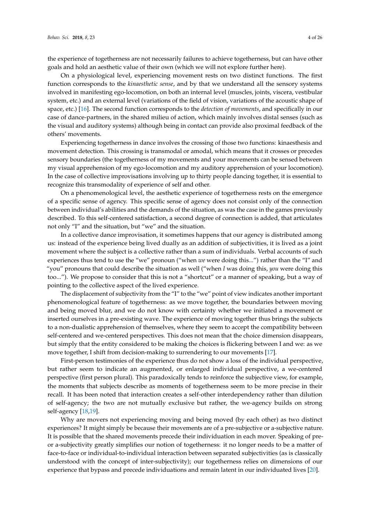the experience of togetherness are not necessarily failures to achieve togetherness, but can have other goals and hold an aesthetic value of their own (which we will not explore further here).

On a physiological level, experiencing movement rests on two distinct functions. The first function corresponds to the *kinaesthetic sense*, and by that we understand all the sensory systems involved in manifesting ego-locomotion, on both an internal level (muscles, joints, viscera, vestibular system, etc.) and an external level (variations of the field of vision, variations of the acoustic shape of space, etc.) [\[16\]](#page-22-14). The second function corresponds to the *detection of movements*, and specifically in our case of dance-partners, in the shared milieu of action, which mainly involves distal senses (such as the visual and auditory systems) although being in contact can provide also proximal feedback of the others' movements.

Experiencing togetherness in dance involves the crossing of those two functions: kinaesthesis and movement detection. This crossing is transmodal or amodal, which means that it crosses or precedes sensory boundaries (the togetherness of my movements and your movements can be sensed between my visual apprehension of my ego-locomotion and my auditory apprehension of your locomotion). In the case of collective improvisations involving up to thirty people dancing together, it is essential to recognize this transmodality of experience of self and other.

On a phenomenological level, the aesthetic experience of togetherness rests on the emergence of a specific sense of agency. This specific sense of agency does not consist only of the connection between individual's abilities and the demands of the situation, as was the case in the games previously described. To this self-centered satisfaction, a second degree of connection is added, that articulates not only "I" and the situation, but "we" and the situation.

In a collective dance improvisation, it sometimes happens that our agency is distributed among us: instead of the experience being lived dually as an addition of subjectivities, it is lived as a joint movement where the subject is a collective rather than a sum of individuals. Verbal accounts of such experiences thus tend to use the "we" pronoun ("when *we* were doing this...") rather than the "I" and "you" pronouns that could describe the situation as well ("when *I* was doing this, *you* were doing this too..."). We propose to consider that this is not a "shortcut" or a manner of speaking, but a way of pointing to the collective aspect of the lived experience.

The displacement of subjectivity from the "I" to the "we" point of view indicates another important phenomenological feature of togetherness: as we move together, the boundaries between moving and being moved blur, and we do not know with certainty whether we initiated a movement or inserted ourselves in a pre-existing wave. The experience of moving together thus brings the subjects to a non-dualistic apprehension of themselves, where they seem to accept the compatibility between self-centered and we-centered perspectives. This does not mean that the choice dimension disappears, but simply that the entity considered to be making the choices is flickering between I and we: as we move together, I shift from decision-making to surrendering to our movements [\[17\]](#page-22-15).

First-person testimonies of the experience thus do not show a loss of the individual perspective, but rather seem to indicate an augmented, or enlarged individual perspective, a we-centered perspective (first person plural). This paradoxically tends to reinforce the subjective view, for example, the moments that subjects describe as moments of togetherness seem to be more precise in their recall. It has been noted that interaction creates a self-other interdependency rather than dilution of self-agency; the two are not mutually exclusive but rather, the we-agency builds on strong self-agency [\[18](#page-22-16)[,19\]](#page-22-17).

Why are movers not experiencing moving and being moved (by each other) as two distinct experiences? It might simply be because their movements are of a pre-subjective or a-subjective nature. It is possible that the shared movements precede their individuation in each mover. Speaking of preor a-subjectivity greatly simplifies our notion of togetherness: it no longer needs to be a matter of face-to-face or individual-to-individual interaction between separated subjectivities (as is classically understood with the concept of inter-subjectivity); our togetherness relies on dimensions of our experience that bypass and precede individuations and remain latent in our individuated lives [\[20\]](#page-22-18).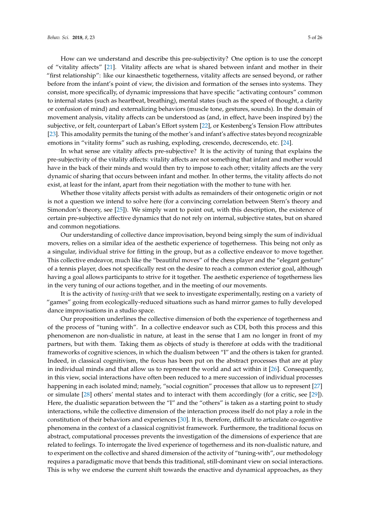How can we understand and describe this pre-subjectivity? One option is to use the concept of "vitality affects" [\[21\]](#page-23-0). Vitality affects are what is shared between infant and mother in their "first relationship": like our kinaesthetic togetherness, vitality affects are sensed beyond, or rather before from the infant's point of view, the division and formation of the senses into systems. They consist, more specifically, of dynamic impressions that have specific "activating contours" common to internal states (such as heartbeat, breathing), mental states (such as the speed of thought, a clarity or confusion of mind) and externalizing behaviors (muscle tone, gestures, sounds). In the domain of movement analysis, vitality affects can be understood as (and, in effect, have been inspired by) the subjective, or felt, counterpart of Laban's Effort system [\[22\]](#page-23-1), or Kestenberg's Tension Flow attributes [\[23\]](#page-23-2). This amodality permits the tuning of the mother's and infant's affective states beyond recognizable

In what sense are vitality affects pre-subjective? It is the activity of tuning that explains the pre-subjectivity of the vitality affects: vitality affects are not something that infant and mother would have in the back of their minds and would then try to impose to each other; vitality affects are the very dynamic of sharing that occurs between infant and mother. In other terms, the vitality affects do not exist, at least for the infant, apart from their negotiation with the mother to tune with her.

emotions in "vitality forms" such as rushing, exploding, crescendo, decrescendo, etc. [\[24\]](#page-23-3).

Whether those vitality affects persist with adults as remainders of their ontogenetic origin or not is not a question we intend to solve here (for a convincing correlation between Stern's theory and Simondon's theory, see [\[25\]](#page-23-4)). We simply want to point out, with this description, the existence of certain pre-subjective affective dynamics that do not rely on internal, subjective states, but on shared and common negotiations.

Our understanding of collective dance improvisation, beyond being simply the sum of individual movers, relies on a similar idea of the aesthetic experience of togetherness. This being not only as a singular, individual strive for fitting in the group, but as a collective endeavor to move together. This collective endeavor, much like the "beautiful moves" of the chess player and the "elegant gesture" of a tennis player, does not specifically rest on the desire to reach a common exterior goal, although having a goal allows participants to strive for it together. The aesthetic experience of togetherness lies in the very tuning of our actions together, and in the meeting of our movements.

It is the activity of *tuning-with* that we seek to investigate experimentally, resting on a variety of "games" going from ecologically-reduced situations such as hand mirror games to fully developed dance improvisations in a studio space.

Our proposition underlines the collective dimension of both the experience of togetherness and of the process of "tuning with". In a collective endeavor such as CDI, both this process and this phenomenon are non-dualistic in nature, at least in the sense that I am no longer in front of my partners, but with them. Taking them as objects of study is therefore at odds with the traditional frameworks of cognitive sciences, in which the dualism between "I" and the others is taken for granted. Indeed, in classical cognitivism, the focus has been put on the abstract processes that are at play in individual minds and that allow us to represent the world and act within it [\[26\]](#page-23-5). Consequently, in this view, social interactions have often been reduced to a mere succession of individual processes happening in each isolated mind; namely, "social cognition" processes that allow us to represent [\[27\]](#page-23-6) or simulate [\[28\]](#page-23-7) others' mental states and to interact with them accordingly (for a critic, see [\[29\]](#page-23-8)). Here, the dualistic separation between the "I" and the "others" is taken as a starting point to study interactions, while the collective dimension of the interaction process itself do not play a role in the constitution of their behaviors and experiences [\[30\]](#page-23-9). It is, therefore, difficult to articulate co-agentive phenomena in the context of a classical cognitivist framework. Furthermore, the traditional focus on abstract, computational processes prevents the investigation of the dimensions of experience that are related to feelings. To interrogate the lived experience of togetherness and its non-dualistic nature, and to experiment on the collective and shared dimension of the activity of "tuning-with", our methodology requires a paradigmatic move that bends this traditional, still-dominant view on social interactions. This is why we endorse the current shift towards the enactive and dynamical approaches, as they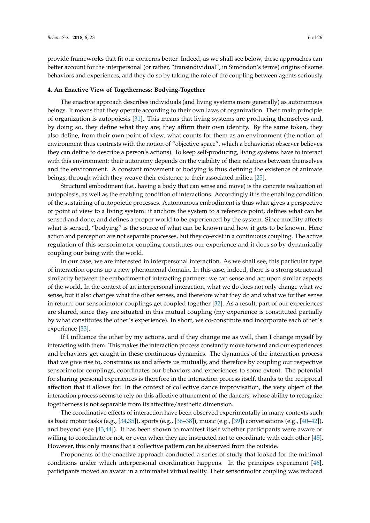provide frameworks that fit our concerns better. Indeed, as we shall see below, these approaches can better account for the interpersonal (or rather, "transindividual", in Simondon's terms) origins of some behaviors and experiences, and they do so by taking the role of the coupling between agents seriously.

#### **4. An Enactive View of Togetherness: Bodying-Together**

The enactive approach describes individuals (and living systems more generally) as autonomous beings. It means that they operate according to their own laws of organization. Their main principle of organization is autopoiesis [\[31\]](#page-23-10). This means that living systems are producing themselves and, by doing so, they define what they are; they affirm their own identity. By the same token, they also define, from their own point of view, what counts for them as an environment (the notion of environment thus contrasts with the notion of "objective space", which a behaviorist observer believes they can define to describe a person's actions). To keep self-producing, living systems have to interact with this environment: their autonomy depends on the viability of their relations between themselves and the environment. A constant movement of bodying is thus defining the existence of animate beings, through which they weave their existence to their associated milieu [\[25\]](#page-23-4).

Structural embodiment (i.e., having a body that can sense and move) is the concrete realization of autopoiesis, as well as the enabling condition of interactions. Accordingly it is the enabling condition of the sustaining of autopoietic processes. Autonomous embodiment is thus what gives a perspective or point of view to a living system: it anchors the system to a reference point, defines what can be sensed and done, and defines a proper world to be experienced by the system. Since motility affects what is sensed, "bodying" is the source of what can be known and how it gets to be known. Here action and perception are not separate processes, but they co-exist in a continuous coupling. The active regulation of this sensorimotor coupling constitutes our experience and it does so by dynamically coupling our being with the world.

In our case, we are interested in interpersonal interaction. As we shall see, this particular type of interaction opens up a new phenomenal domain. In this case, indeed, there is a strong structural similarity between the embodiment of interacting partners: we can sense and act upon similar aspects of the world. In the context of an interpersonal interaction, what we do does not only change what we sense, but it also changes what the other senses, and therefore what they do and what we further sense in return: our sensorimotor couplings get coupled together [\[32\]](#page-23-11). As a result, part of our experiences are shared, since they are situated in this mutual coupling (my experience is constituted partially by what constitutes the other's experience). In short, we co-constitute and incorporate each other's experience [\[33\]](#page-23-12).

If I influence the other by my actions, and if they change me as well, then I change myself by interacting with them. This makes the interaction process constantly move forward and our experiences and behaviors get caught in these continuous dynamics. The dynamics of the interaction process that we give rise to, constrains us and affects us mutually, and therefore by coupling our respective sensorimotor couplings, coordinates our behaviors and experiences to some extent. The potential for sharing personal experiences is therefore in the interaction process itself, thanks to the reciprocal affection that it allows for. In the context of collective dance improvisation, the very object of the interaction process seems to rely on this affective attunement of the dancers, whose ability to recognize togetherness is not separable from its affective/aesthetic dimension.

The coordinative effects of interaction have been observed experimentally in many contexts such as basic motor tasks (e.g.,  $[34,35]$  $[34,35]$ ), sports (e.g.,  $[36-38]$  $[36-38]$ ), music (e.g.,  $[39]$ ) conversations (e.g.,  $[40-42]$  $[40-42]$ ), and beyond (see [\[43,](#page-23-20)[44\]](#page-23-21)). It has been shown to manifest itself whether participants were aware or willing to coordinate or not, or even when they are instructed not to coordinate with each other [\[45\]](#page-23-22). However, this only means that a collective pattern can be observed from the outside.

Proponents of the enactive approach conducted a series of study that looked for the minimal conditions under which interpersonal coordination happens. In the principes experiment [\[46\]](#page-23-23), participants moved an avatar in a minimalist virtual reality. Their sensorimotor coupling was reduced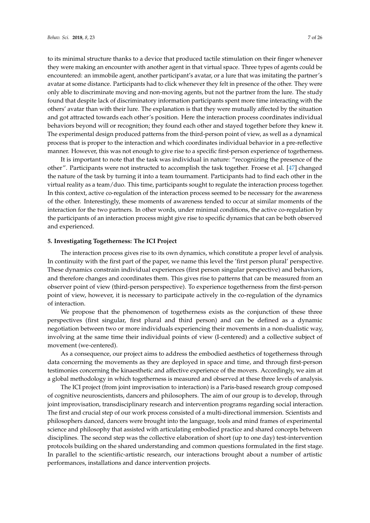to its minimal structure thanks to a device that produced tactile stimulation on their finger whenever they were making an encounter with another agent in that virtual space. Three types of agents could be encountered: an immobile agent, another participant's avatar, or a lure that was imitating the partner's avatar at some distance. Participants had to click whenever they felt in presence of the other. They were only able to discriminate moving and non-moving agents, but not the partner from the lure. The study found that despite lack of discriminatory information participants spent more time interacting with the others' avatar than with their lure. The explanation is that they were mutually affected by the situation and got attracted towards each other's position. Here the interaction process coordinates individual behaviors beyond will or recognition; they found each other and stayed together before they knew it. The experimental design produced patterns from the third-person point of view, as well as a dynamical process that is proper to the interaction and which coordinates individual behavior in a pre-reflective manner. However, this was not enough to give rise to a specific first-person experience of togetherness.

It is important to note that the task was individual in nature: "recognizing the presence of the other". Participants were not instructed to accomplish the task together. Froese et al. [\[47\]](#page-23-24) changed the nature of the task by turning it into a team tournament. Participants had to find each other in the virtual reality as a team/duo. This time, participants sought to regulate the interaction process together. In this context, active co-regulation of the interaction process seemed to be necessary for the awareness of the other. Interestingly, these moments of awareness tended to occur at similar moments of the interaction for the two partners. In other words, under minimal conditions, the active co-regulation by the participants of an interaction process might give rise to specific dynamics that can be both observed and experienced.

# **5. Investigating Togetherness: The ICI Project**

The interaction process gives rise to its own dynamics, which constitute a proper level of analysis. In continuity with the first part of the paper, we name this level the 'first person plural' perspective. These dynamics constrain individual experiences (first person singular perspective) and behaviors, and therefore changes and coordinates them. This gives rise to patterns that can be measured from an observer point of view (third-person perspective). To experience togetherness from the first-person point of view, however, it is necessary to participate actively in the co-regulation of the dynamics of interaction.

We propose that the phenomenon of togetherness exists as the conjunction of these three perspectives (first singular, first plural and third person) and can be defined as a dynamic negotiation between two or more individuals experiencing their movements in a non-dualistic way, involving at the same time their individual points of view (I-centered) and a collective subject of movement (we-centered).

As a consequence, our project aims to address the embodied aesthetics of togetherness through data concerning the movements as they are deployed in space and time, and through first-person testimonies concerning the kinaesthetic and affective experience of the movers. Accordingly, we aim at a global methodology in which togetherness is measured and observed at these three levels of analysis.

The ICI project (from joint improvisation to interaction) is a Paris-based research group composed of cognitive neuroscientists, dancers and philosophers. The aim of our group is to develop, through joint improvisation, transdisciplinary research and intervention programs regarding social interaction. The first and crucial step of our work process consisted of a multi-directional immersion. Scientists and philosophers danced, dancers were brought into the language, tools and mind frames of experimental science and philosophy that assisted with articulating embodied practice and shared concepts between disciplines. The second step was the collective elaboration of short (up to one day) test-intervention protocols building on the shared understanding and common questions formulated in the first stage. In parallel to the scientific-artistic research, our interactions brought about a number of artistic performances, installations and dance intervention projects.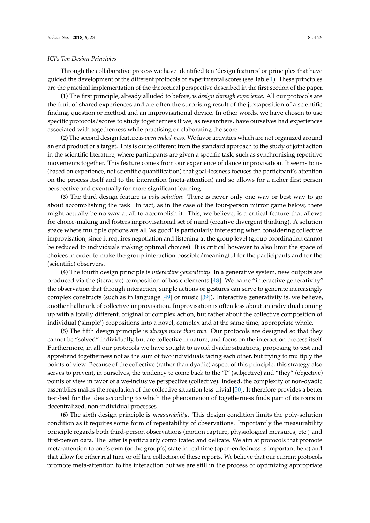# *ICI's Ten Design Principles*

Through the collaborative process we have identified ten 'design features' or principles that have guided the development of the different protocols or experimental scores (see Table [1\)](#page-8-0). These principles are the practical implementation of the theoretical perspective described in the first section of the paper.

**(1)** The first principle, already alluded to before, is *design through experience*. All our protocols are the fruit of shared experiences and are often the surprising result of the juxtaposition of a scientific finding, question or method and an improvisational device. In other words, we have chosen to use specific protocols/scores to study togetherness if we, as researchers, have ourselves had experiences associated with togetherness while practising or elaborating the score.

**(2)** The second design feature is *open ended-ness*. We favor activities which are not organized around an end product or a target. This is quite different from the standard approach to the study of joint action in the scientific literature, where participants are given a specific task, such as synchronising repetitive movements together. This feature comes from our experience of dance improvisation. It seems to us (based on experience, not scientific quantification) that goal-lessness focuses the participant's attention on the process itself and to the interaction (meta-attention) and so allows for a richer first person perspective and eventually for more significant learning.

**(3)** The third design feature is *poly-solution*: There is never only one way or best way to go about accomplishing the task. In fact, as in the case of the four-person mirror game below, there might actually be no way at all to accomplish it. This, we believe, is a critical feature that allows for choice-making and fosters improvisational set of mind (creative divergent thinking). A solution space where multiple options are all 'as good' is particularly interesting when considering collective improvisation, since it requires negotiation and listening at the group level (group coordination cannot be reduced to individuals making optimal choices). It is critical however to also limit the space of choices in order to make the group interaction possible/meaningful for the participants and for the (scientific) observers.

**(4)** The fourth design principle is *interactive generativity*: In a generative system, new outputs are produced via the (iterative) composition of basic elements [\[48\]](#page-23-25). We name "interactive generativity" the observation that through interaction, simple actions or gestures can serve to generate increasingly complex constructs (such as in language [\[49\]](#page-23-26) or music [\[39\]](#page-23-17)). Interactive generativity is, we believe, another hallmark of collective improvisation. Improvisation is often less about an individual coming up with a totally different, original or complex action, but rather about the collective composition of individual ('simple') propositions into a novel, complex and at the same time, appropriate whole.

**(5)** The fifth design principle is *always more than two*. Our protocols are designed so that they cannot be "solved" individually, but are collective in nature, and focus on the interaction process itself. Furthermore, in all our protocols we have sought to avoid dyadic situations, proposing to test and apprehend togetherness not as the sum of two individuals facing each other, but trying to multiply the points of view. Because of the collective (rather than dyadic) aspect of this principle, this strategy also serves to prevent, in ourselves, the tendency to come back to the "I" (subjective) and "they" (objective) points of view in favor of a we-inclusive perspective (collective). Indeed, the complexity of non-dyadic assemblies makes the regulation of the collective situation less trivial [\[50\]](#page-24-0). It therefore provides a better test-bed for the idea according to which the phenomenon of togetherness finds part of its roots in decentralized, non-individual processes.

**(6)** The sixth design principle is *measurability*. This design condition limits the poly-solution condition as it requires some form of repeatability of observations. Importantly the measurability principle regards both third-person observations (motion capture, physiological measures, etc.) and first-person data. The latter is particularly complicated and delicate. We aim at protocols that promote meta-attention to one's own (or the group's) state in real time (open-endedness is important here) and that allow for either real time or off line collection of these reports. We believe that our current protocols promote meta-attention to the interaction but we are still in the process of optimizing appropriate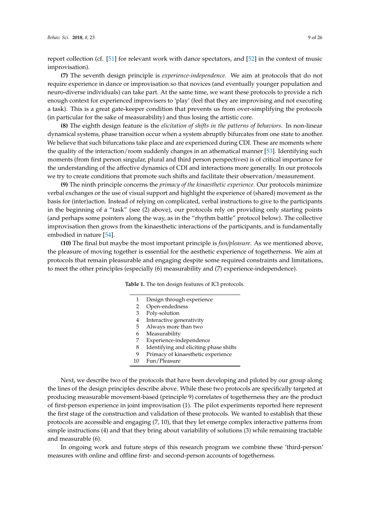report collection (cf. [\[51\]](#page-24-1) for relevant work with dance spectators, and [\[52\]](#page-24-2) in the context of music improvisation).

**(7)** The seventh design principle is *experience-independence*. We aim at protocols that do not require experience in dance or improvisation so that novices (and eventually younger population and neuro-diverse individuals) can take part. At the same time, we want these protocols to provide a rich enough context for experienced improvisers to 'play' (feel that they are improvising and not executing a task). This is a great gate-keeper condition that prevents us from over-simplifying the protocols (in particular for the sake of measurability) and thus losing the artistic core.

**(8)** The eighth design feature is the *elicitation of shifts in the patterns of behaviors*. In non-linear dynamical systems, phase transition occur when a system abruptly bifurcates from one state to another. We believe that such bifurcations take place and are experienced during CDI. These are moments where the quality of the interaction/room suddenly changes in an athematical manner [\[53\]](#page-24-3). Identifying such moments (from first person singular, plural and third person perspectives) is of critical importance for the understanding of the affective dynamics of CDI and interactions more generally. In our protocols we try to create conditions that promote such shifts and facilitate their observation/measurement.

**(9)** The ninth principle concerns the *primacy of the kinaesthetic experience*. Our protocols minimize verbal exchanges or the use of visual support and highlight the experience of (shared) movement as the basis for (inter)action. Instead of relying on complicated, verbal instructions to give to the participants in the beginning of a "task" (see (2) above), our protocols rely on providing only starting points (and perhaps some pointers along the way, as in the "rhythm battle" protocol below). The collective improvisation then grows from the kinaesthetic interactions of the participants, and is fundamentally embodied in nature [\[54\]](#page-24-4).

<span id="page-8-0"></span>**(10)** The final but maybe the most important principle is *fun/pleasure*. As we mentioned above, the pleasure of moving together is essential for the aesthetic experience of togetherness. We aim at protocols that remain pleasurable and engaging despite some required constraints and limitations, to meet the other principles (especially (6) measurability and (7) experience-independence).

| <b>Table 1.</b> The ten design features of ICI protocols. |  |
|-----------------------------------------------------------|--|
|-----------------------------------------------------------|--|

| 1  | Design through experience              |
|----|----------------------------------------|
| 2  | Open-endedness                         |
| 3  | Poly-solution                          |
| 4  | Interactive generativity               |
| 5  | Always more than two                   |
| 6  | Measurability                          |
| 7  | Experience-independence                |
| 8  | Identifying and eliciting phase shifts |
| 9  | Primacy of kinaesthetic experience     |
| 10 | Fun/Pleasure                           |
|    |                                        |

Next, we describe two of the protocols that have been developing and piloted by our group along the lines of the design principles describe above. While these two protocols are specifically targeted at producing measurable movement-based (principle 9) correlates of togetherness they are the product of first-person experience in joint improvisation (1). The pilot experiments reported here represent the first stage of the construction and validation of these protocols. We wanted to establish that these protocols are accessible and engaging (7, 10), that they let emerge complex interactive patterns from simple instructions (4) and that they bring about variability of solutions (3) while remaining tractable and measurable (6).

In ongoing work and future steps of this research program we combine these 'third-person' measures with online and offline first- and second-person accounts of togetherness.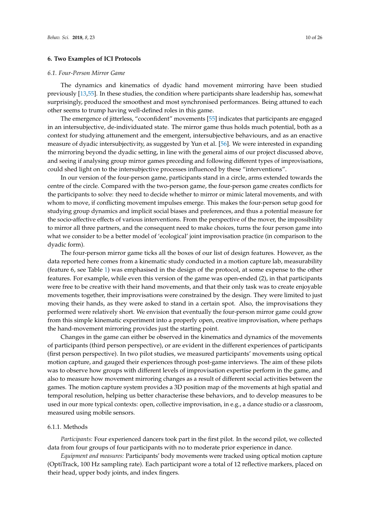## **6. Two Examples of ICI Protocols**

#### *6.1. Four-Person Mirror Game*

The dynamics and kinematics of dyadic hand movement mirroring have been studied previously [\[13](#page-22-11)[,55\]](#page-24-5). In these studies, the condition where participants share leadership has, somewhat surprisingly, produced the smoothest and most synchronised performances. Being attuned to each other seems to trump having well-defined roles in this game.

The emergence of jitterless, "coconfident" movements [\[55\]](#page-24-5) indicates that participants are engaged in an intersubjective, de-individuated state. The mirror game thus holds much potential, both as a context for studying attunement and the emergent, intersubjective behaviours, and as an enactive measure of dyadic intersubjectivity, as suggested by Yun et al. [\[56\]](#page-24-6). We were interested in expanding the mirroring beyond the dyadic setting, in line with the general aims of our project discussed above, and seeing if analysing group mirror games preceding and following different types of improvisations, could shed light on to the intersubjective processes influenced by these "interventions".

In our version of the four-person game, participants stand in a circle, arms extended towards the centre of the circle. Compared with the two-person game, the four-person game creates conflicts for the participants to solve: they need to decide whether to mirror or mimic lateral movements, and with whom to move, if conflicting movement impulses emerge. This makes the four-person setup good for studying group dynamics and implicit social biases and preferences, and thus a potential measure for the socio-affective effects of various interventions. From the perspective of the mover, the impossibility to mirror all three partners, and the consequent need to make choices, turns the four person game into what we consider to be a better model of 'ecological' joint improvisation practice (in comparison to the dyadic form).

The four-person mirror game ticks all the boxes of our list of design features. However, as the data reported here comes from a kinematic study conducted in a motion capture lab, measurability (feature 6, see Table [1\)](#page-8-0) was emphasised in the design of the protocol, at some expense to the other features. For example, while even this version of the game was open-ended (2), in that participants were free to be creative with their hand movements, and that their only task was to create enjoyable movements together, their improvisations were constrained by the design. They were limited to just moving their hands, as they were asked to stand in a certain spot. Also, the improvisations they performed were relatively short. We envision that eventually the four-person mirror game could grow from this simple kinematic experiment into a properly open, creative improvisation, where perhaps the hand-movement mirroring provides just the starting point.

Changes in the game can either be observed in the kinematics and dynamics of the movements of participants (third person perspective), or are evident in the different experiences of participants (first person perspective). In two pilot studies, we measured participants' movements using optical motion capture, and gauged their experiences through post-game interviews. The aim of these pilots was to observe how groups with different levels of improvisation expertise perform in the game, and also to measure how movement mirroring changes as a result of different social activities between the games. The motion capture system provides a 3D position map of the movements at high spatial and temporal resolution, helping us better characterise these behaviors, and to develop measures to be used in our more typical contexts: open, collective improvisation, in e.g., a dance studio or a classroom, measured using mobile sensors.

# 6.1.1. Methods

*Participants:* Four experienced dancers took part in the first pilot. In the second pilot, we collected data from four groups of four participants with no to moderate prior experience in dance.

*Equipment and measures:* Participants' body movements were tracked using optical motion capture (OptiTrack, 100 Hz sampling rate). Each participant wore a total of 12 reflective markers, placed on their head, upper body joints, and index fingers.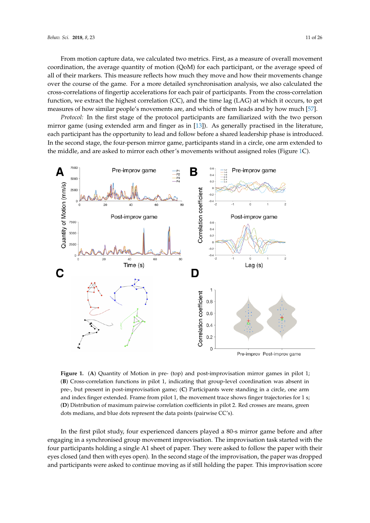From motion capture data, we calculated two metrics. First, as a measure of overall movement coordination, the average quantity of motion (QoM) for each participant, or the average speed of all of their markers. This measure reflects how much they move and how their movements change over the course of the game. For a more detailed synchronisation analysis, we also calculated the cross-correlations of fingertip accelerations for each pair of participants. From the cross-correlation function, we extract the highest correlation (CC), and the time lag (LAG) at which it occurs, to get measures of how similar people's movements are, and which of them leads and by how much [\[57\]](#page-24-7).

*Protocol:* In the first stage of the protocol participants are familiarized with the two person mirror game (using extended arm and finger as in [\[13\]](#page-22-11)). As generally practised in the literature, each participant has the opportunity to lead and follow before a shared leadership phase is introduced. In the second stage, the four-person mirror game, participants stand in a circle, one arm extended to the middle, and are asked to mirror each other's movements without assigned roles (Figure [1C](#page-10-0)).

<span id="page-10-0"></span>

**Figure 1.** (**A**) Quantity of Motion in pre- (top) and post-improvisation mirror games in pilot 1; (**B**) Cross-correlation functions in pilot 1, indicating that group-level coordination was absent in pre-, but present in post-improvisation game; (**C**) Participants were standing in a circle, one arm and index finger extended. Frame from pilot 1, the movement trace shows finger trajectories for 1 s; (**D**) Distribution of maximum pairwise correlation coefficients in pilot 2. Red crosses are means, green dots medians, and blue dots represent the data points (pairwise CC's).

In the first pilot study, four experienced dancers played a 80-s mirror game before and after engaging in a synchronised group movement improvisation. The improvisation task started with the four participants holding a single A1 sheet of paper. They were asked to follow the paper with their eyes closed (and then with eyes open). In the second stage of the improvisation, the paper was dropped and participants were asked to continue moving as if still holding the paper. This improvisation score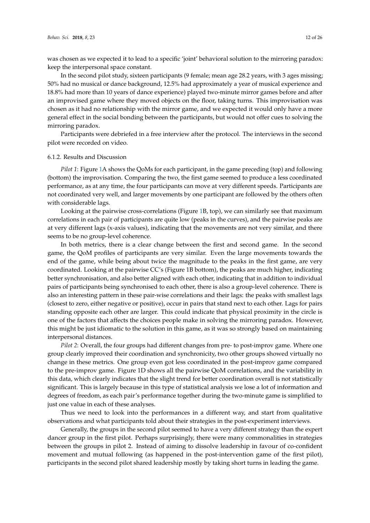was chosen as we expected it to lead to a specific 'joint' behavioral solution to the mirroring paradox: keep the interpersonal space constant.

In the second pilot study, sixteen participants (9 female; mean age 28.2 years, with 3 ages missing; 50% had no musical or dance background, 12.5% had approximately a year of musical experience and 18.8% had more than 10 years of dance experience) played two-minute mirror games before and after an improvised game where they moved objects on the floor, taking turns. This improvisation was chosen as it had no relationship with the mirror game, and we expected it would only have a more general effect in the social bonding between the participants, but would not offer cues to solving the mirroring paradox.

Participants were debriefed in a free interview after the protocol. The interviews in the second pilot were recorded on video.

## 6.1.2. Results and Discussion

*Pilot 1*: Figure [1A](#page-10-0) shows the QoMs for each participant, in the game preceding (top) and following (bottom) the improvisation. Comparing the two, the first game seemed to produce a less coordinated performance, as at any time, the four participants can move at very different speeds. Participants are not coordinated very well, and larger movements by one participant are followed by the others often with considerable lags.

Looking at the pairwise cross-correlations (Figure [1B](#page-10-0), top), we can similarly see that maximum correlations in each pair of participants are quite low (peaks in the curves), and the pairwise peaks are at very different lags (x-axis values), indicating that the movements are not very similar, and there seems to be no group-level coherence.

In both metrics, there is a clear change between the first and second game. In the second game, the QoM profiles of participants are very similar. Even the large movements towards the end of the game, while being about twice the magnitude to the peaks in the first game, are very coordinated. Looking at the pairwise CC's (Figure 1B bottom), the peaks are much higher, indicating better synchronisation, and also better aligned with each other, indicating that in addition to individual pairs of participants being synchronised to each other, there is also a group-level coherence. There is also an interesting pattern in these pair-wise correlations and their lags: the peaks with smallest lags (closest to zero, either negative or positive), occur in pairs that stand next to each other. Lags for pairs standing opposite each other are larger. This could indicate that physical proximity in the circle is one of the factors that affects the choices people make in solving the mirroring paradox. However, this might be just idiomatic to the solution in this game, as it was so strongly based on maintaining interpersonal distances.

*Pilot 2*: Overall, the four groups had different changes from pre- to post-improv game. Where one group clearly improved their coordination and synchronicity, two other groups showed virtually no change in these metrics. One group even got less coordinated in the post-improv game compared to the pre-improv game. Figure 1D shows all the pairwise QoM correlations, and the variability in this data, which clearly indicates that the slight trend for better coordination overall is not statistically significant. This is largely because in this type of statistical analysis we lose a lot of information and degrees of freedom, as each pair's performance together during the two-minute game is simplified to just one value in each of these analyses.

Thus we need to look into the performances in a different way, and start from qualitative observations and what participants told about their strategies in the post-experiment interviews.

Generally, the groups in the second pilot seemed to have a very different strategy than the expert dancer group in the first pilot. Perhaps surprisingly, there were many commonalities in strategies between the groups in pilot 2. Instead of aiming to dissolve leadership in favour of co-confident movement and mutual following (as happened in the post-intervention game of the first pilot), participants in the second pilot shared leadership mostly by taking short turns in leading the game.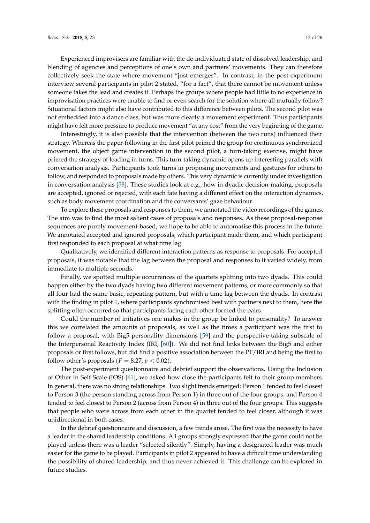Experienced improvisers are familiar with the de-individuated state of dissolved leadership, and blending of agencies and perceptions of one's own and partners' movements. They can therefore collectively seek the state where movement "just emerges". In contrast, in the post-experiment interview several participants in pilot 2 stated, "for a fact", that there cannot be movement unless someone takes the lead and creates it. Perhaps the groups where people had little to no experience in improvisation practices were unable to find or even search for the solution where all mutually follow? Situational factors might also have contributed to this difference between pilots. The second pilot was not embedded into a dance class, but was more clearly a movement experiment. Thus participants might have felt more pressure to produce movement "at any cost" from the very beginning of the game.

Interestingly, it is also possible that the intervention (between the two runs) influenced their strategy. Whereas the paper-following in the first pilot primed the group for continuous synchronized movement, the object game intervention in the second pilot, a turn-taking exercise, might have primed the strategy of leading in turns. This turn-taking dynamic opens up interesting parallels with conversation analysis. Participants took turns in proposing movements and gestures for others to follow, and responded to proposals made by others. This very dynamic is currently under investigation in conversation analysis [\[58\]](#page-24-8). These studies look at e.g., how in dyadic decision-making, proposals are accepted, ignored or rejected, with each fate having a different effect on the interaction dynamics, such as body movement coordination and the conversants' gaze behaviour.

To explore these proposals and responses to them, we annotated the video recordings of the games. The aim was to find the most salient cases of proposals and responses. As these proposal-response sequences are purely movement-based, we hope to be able to automatise this process in the future. We annotated accepted and ignored proposals, which participant made them, and which participant first responded to each proposal at what time lag.

Qualitatively, we identified different interaction patterns as response to proposals. For accepted proposals, it was notable that the lag between the proposal and responses to it varied widely, from immediate to multiple seconds.

Finally, we spotted multiple occurrences of the quartets splitting into two dyads. This could happen either by the two dyads having two different movement patterns, or more commonly so that all four had the same basic, repeating pattern, but with a time lag between the dyads. In contrast with the finding in pilot 1, where participants synchronised best with partners next to them, here the splitting often occurred so that participants facing each other formed the pairs.

Could the number of initiatives one makes in the group be linked to personality? To answer this we correlated the amounts of proposals, as well as the times a participant was the first to follow a proposal, with Big5 personality dimensions [\[59\]](#page-24-9) and the perspective-taking subscale of the Interpersonal Reactivity Index (IRI, [\[60\]](#page-24-10)). We did not find links between the Big5 and either proposals or first follows, but did find a positive association between the PT/IRI and being the first to follow other's proposals ( $F = 8.27$ ,  $p < 0.02$ ).

The post-experiment questionnaire and debrief support the observations. Using the Inclusion of Other in Self Scale (IOS) [\[61\]](#page-24-11), we asked how close the participants felt to their group members. In general, there was no strong relationships. Two slight trends emerged: Person 1 tended to feel closest to Person 3 (the person standing across from Person 1) in three out of the four groups, and Person 4 tended to feel closest to Person 2 (across from Person 4) in three out of the four groups. This suggests that people who were across from each other in the quartet tended to feel closer, although it was unidirectional in both cases.

In the debrief questionnaire and discussion, a few trends arose. The first was the necessity to have a leader in the shared leadership conditions. All groups strongly expressed that the game could not be played unless there was a leader "selected silently". Simply, having a designated leader was much easier for the game to be played. Participants in pilot 2 appeared to have a difficult time understanding the possibility of shared leadership, and thus never achieved it. This challenge can be explored in future studies.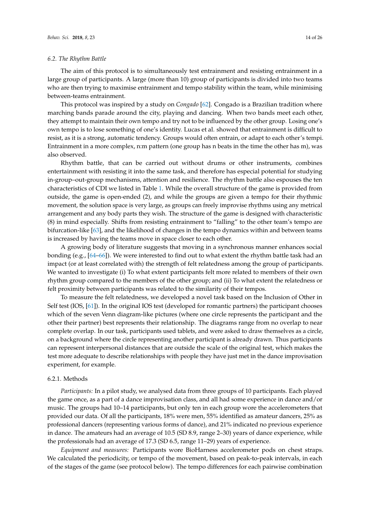#### *6.2. The Rhythm Battle*

The aim of this protocol is to simultaneously test entrainment and resisting entrainment in a large group of participants. A large (more than 10) group of participants is divided into two teams who are then trying to maximise entrainment and tempo stability within the team, while minimising between-teams entrainment.

This protocol was inspired by a study on *Congado* [\[62\]](#page-24-12). Congado is a Brazilian tradition where marching bands parade around the city, playing and dancing. When two bands meet each other, they attempt to maintain their own tempo and try not to be influenced by the other group. Losing one's own tempo is to lose something of one's identity. Lucas et al. showed that entrainment is difficult to resist, as it is a strong, automatic tendency. Groups would often entrain, or adapt to each other's tempi. Entrainment in a more complex, n:m pattern (one group has n beats in the time the other has m), was also observed.

Rhythm battle, that can be carried out without drums or other instruments, combines entertainment with resisting it into the same task, and therefore has especial potential for studying in-group–out-group mechanisms, attention and resilience. The rhythm battle also espouses the ten characteristics of CDI we listed in Table [1.](#page-8-0) While the overall structure of the game is provided from outside, the game is open-ended (2), and while the groups are given a tempo for their rhythmic movement, the solution space is very large, as groups can freely improvise rhythms using any metrical arrangement and any body parts they wish. The structure of the game is designed with characteristic (8) in mind especially. Shifts from resisting entrainment to "falling" to the other team's tempo are bifurcation-like [\[63\]](#page-24-13), and the likelihood of changes in the tempo dynamics within and between teams is increased by having the teams move in space closer to each other.

A growing body of literature suggests that moving in a synchronous manner enhances social bonding (e.g., [\[64](#page-24-14)[–66\]](#page-24-15)). We were interested to find out to what extent the rhythm battle task had an impact (or at least correlated with) the strength of felt relatedness among the group of participants. We wanted to investigate (i) To what extent participants felt more related to members of their own rhythm group compared to the members of the other group; and (ii) To what extent the relatedness or felt proximity between participants was related to the similarity of their tempos.

To measure the felt relatedness, we developed a novel task based on the Inclusion of Other in Self test (IOS, [\[61\]](#page-24-11)). In the original IOS test (developed for romantic partners) the participant chooses which of the seven Venn diagram-like pictures (where one circle represents the participant and the other their partner) best represents their relationship. The diagrams range from no overlap to near complete overlap. In our task, participants used tablets, and were asked to draw themselves as a circle, on a background where the circle representing another participant is already drawn. Thus participants can represent interpersonal distances that are outside the scale of the original test, which makes the test more adequate to describe relationships with people they have just met in the dance improvisation experiment, for example.

# 6.2.1. Methods

*Participants:* In a pilot study, we analysed data from three groups of 10 participants. Each played the game once, as a part of a dance improvisation class, and all had some experience in dance and/or music. The groups had 10–14 participants, but only ten in each group wore the accelerometers that provided our data. Of all the participants, 18% were men, 55% identified as amateur dancers, 25% as professional dancers (representing various forms of dance), and 21% indicated no previous experience in dance. The amateurs had an average of 10.5 (SD 8.9, range 2–30) years of dance experience, while the professionals had an average of 17.3 (SD 6.5, range 11–29) years of experience.

*Equipment and measures:* Participants wore BioHarness accelerometer pods on chest straps. We calculated the periodicity, or tempo of the movement, based on peak-to-peak intervals, in each of the stages of the game (see protocol below). The tempo differences for each pairwise combination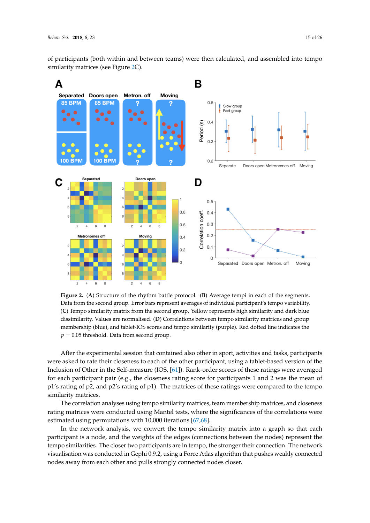of participants (both within and between teams) were then calculated, and assembled into tempo similarity matrices (see Figure [2C](#page-14-0)).

<span id="page-14-0"></span>

**Figure 2.** (**A**) Structure of the rhythm battle protocol. (**B**) Average tempi in each of the segments. Data from the second group. Error bars represent averages of individual participant's tempo variability. (**C**) Tempo similarity matrix from the second group. Yellow represents high similarity and dark blue dissimilarity. Values are normalised. (**D**) Correlations between tempo similarity matrices and group membership (blue), and tablet-IOS scores and tempo similarity (purple). Red dotted line indicates the  $p = 0.05$  threshold. Data from second group.

After the experimental session that contained also other in sport, activities and tasks, participants were asked to rate their closeness to each of the other participant, using a tablet-based version of the Inclusion of Other in the Self-measure (IOS, [\[61\]](#page-24-11)). Rank-order scores of these ratings were averaged for each participant pair (e.g., the closeness rating score for participants 1 and 2 was the mean of p1's rating of p2, and p2's rating of p1). The matrices of these ratings were compared to the tempo similarity matrices.

The correlation analyses using tempo similarity matrices, team membership matrices, and closeness rating matrices were conducted using Mantel tests, where the significances of the correlations were estimated using permutations with 10,000 iterations [\[67,](#page-24-16)[68\]](#page-24-17).

In the network analysis, we convert the tempo similarity matrix into a graph so that each participant is a node, and the weights of the edges (connections between the nodes) represent the tempo similarities. The closer two participants are in tempo, the stronger their connection. The network visualisation was conducted in Gephi 0.9.2, using a Force Atlas algorithm that pushes weakly connected nodes away from each other and pulls strongly connected nodes closer.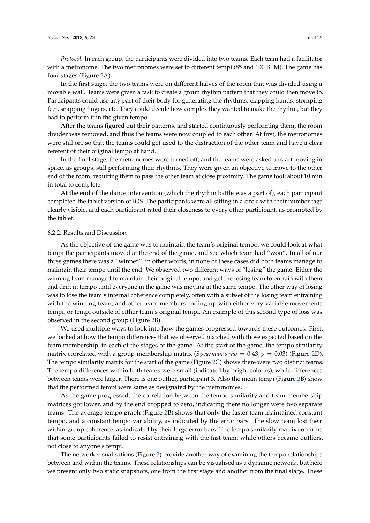*Protocol:* In each group, the participants were divided into two teams. Each team had a facilitator with a metronome. The two metronomes were set to different tempi (85 and 100 BPM). The game has four stages (Figure [2A](#page-14-0)).

In the first stage, the two teams were on different halves of the room that was divided using a movable wall. Teams were given a task to create a group rhythm pattern that they could then move to. Participants could use any part of their body for generating the rhythms: clapping hands, stomping feet, snapping fingers, etc. They could decide how complex they wanted to make the rhythm, but they had to perform it in the given tempo.

After the teams figured out their patterns, and started continuously performing them, the room divider was removed, and thus the teams were now coupled to each other. At first, the metronomes were still on, so that the teams could get used to the distraction of the other team and have a clear referent of their original tempo at hand.

In the final stage, the metronomes were turned off, and the teams were asked to start moving in space, as groups, still performing their rhythms. They were given an objective to move to the other end of the room, requiring them to pass the other team at close proximity. The game took about 10 min in total to complete.

At the end of the dance intervention (which the rhythm battle was a part of), each participant completed the tablet version of IOS. The participants were all sitting in a circle with their number tags clearly visible, and each participant rated their closeness to every other participant, as prompted by the tablet.

## 6.2.2. Results and Discussion

As the objective of the game was to maintain the team's original tempo, we could look at what tempi the participants moved at the end of the game, and see which team had "won". In all of our three games there was a "winner", in other words, in none of these cases did both teams manage to maintain their tempo until the end. We observed two different ways of "losing" the game. Either the winning team managed to maintain their original tempo, and get the losing team to entrain with them and drift in tempo until everyone in the game was moving at the same tempo. The other way of losing was to lose the team's internal coherence completely, often with a subset of the losing team entraining with the winning team, and other team members ending up with either very variable movements tempi, or tempi outside of either team's original tempi. An example of this second type of loss was observed in the second group (Figure [2B](#page-14-0)).

We used multiple ways to look into how the games progressed towards these outcomes. First, we looked at how the tempo differences that we observed matched with those expected based on the team membership, in each of the stages of the game. At the start of the game, the tempo similarity matrix correlated with a group membership matrix (*Spearman's rho* = 0.43,  $p = 0.03$ ) (Figure [2D](#page-14-0)). The tempo similarity matrix for the start of the game (Figure [2C](#page-14-0)) shows there were two distinct teams. The tempo differences within both teams were small (indicated by bright colours), while differences between teams were larger. There is one outlier, participant 3. Also the mean tempi (Figure [2B](#page-14-0)) show that the performed tempi were same as designated by the metronomes.

As the game progressed, the correlation between the tempo similarity and team membership matrices got lower, and by the end dropped to zero, indicating there no longer were two separate teams. The average tempo graph (Figure [2B](#page-14-0)) shows that only the faster team maintained constant tempo, and a constant tempo variability, as indicated by the error bars. The slow team lost their within-group coherence, as indicated by their large error bars. The tempo similarity matrix confirms that some participants failed to resist entraining with the fast team, while others became outliers, not close to anyone's tempi.

The network visualisations (Figure [3\)](#page-16-0) provide another way of examining the tempo relationships between and within the teams. These relationships can be visualised as a dynamic network, but here we present only two static snapshots, one from the first stage and another from the final stage. These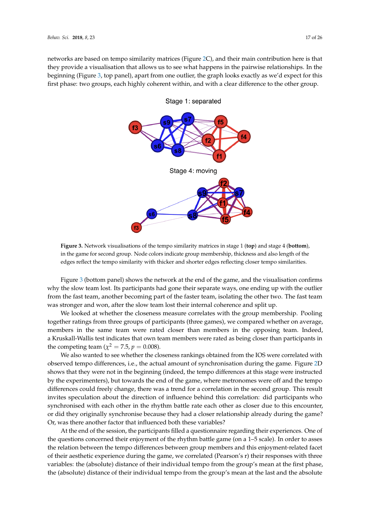<span id="page-16-0"></span>networks are based on tempo similarity matrices (Figure [2C](#page-14-0)), and their main contribution here is that they provide a visualisation that allows us to see what happens in the pairwise relationships. In the beginning (Figure [3,](#page-16-0) top panel), apart from one outlier, the graph looks exactly as we'd expect for this first phase: two groups, each highly coherent within, and with a clear difference to the other group.



Stage 1: separated

**Figure 3.** Network visualisations of the tempo similarity matrices in stage 1 (**top**) and stage 4 (**bottom**), in the game for second group. Node colors indicate group membership, thickness and also length of the edges reflect the tempo similarity with thicker and shorter edges reflecting closer tempo similarities.

Figure [3](#page-16-0) (bottom panel) shows the network at the end of the game, and the visualisation confirms why the slow team lost. Its participants had gone their separate ways, one ending up with the outlier from the fast team, another becoming part of the faster team, isolating the other two. The fast team was stronger and won, after the slow team lost their internal coherence and split up.

We looked at whether the closeness measure correlates with the group membership. Pooling together ratings from three groups of participants (three games), we compared whether on average, members in the same team were rated closer than members in the opposing team. Indeed, a Kruskall-Wallis test indicates that own team members were rated as being closer than participants in the competing team ( $\chi^2 = 7.5$ ,  $p = 0.008$ ).

We also wanted to see whether the closeness rankings obtained from the IOS were correlated with observed tempo differences, i.e., the actual amount of synchronisation during the game. Figure [2D](#page-14-0) shows that they were not in the beginning (indeed, the tempo differences at this stage were instructed by the experimenters), but towards the end of the game, where metronomes were off and the tempo differences could freely change, there was a trend for a correlation in the second group. This result invites speculation about the direction of influence behind this correlation: did participants who synchronised with each other in the rhythm battle rate each other as closer due to this encounter, or did they originally synchronise because they had a closer relationship already during the game? Or, was there another factor that influenced both these variables?

At the end of the session, the participants filled a questionnaire regarding their experiences. One of the questions concerned their enjoyment of the rhythm battle game (on a 1–5 scale). In order to asses the relation between the tempo differences between group members and this enjoyment-related facet of their aesthetic experience during the game, we correlated (Pearson's r) their responses with three variables: the (absolute) distance of their individual tempo from the group's mean at the first phase, the (absolute) distance of their individual tempo from the group's mean at the last and the absolute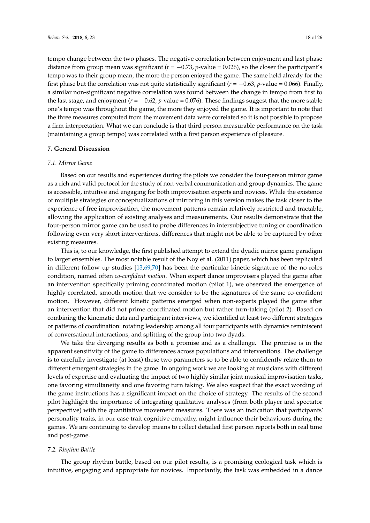tempo change between the two phases. The negative correlation between enjoyment and last phase distance from group mean was significant (*r* = −0.73, *p*-value = 0.026), so the closer the participant's tempo was to their group mean, the more the person enjoyed the game. The same held already for the first phase but the correlation was not quite statistically significant ( $r = -0.63$ ,  $p$ -value = 0.066). Finally, a similar non-significant negative correlation was found between the change in tempo from first to the last stage, and enjoyment  $(r = -0.62, p$ -value = 0.076). These findings suggest that the more stable one's tempo was throughout the game, the more they enjoyed the game. It is important to note that the three measures computed from the movement data were correlated so it is not possible to propose a firm interpretation. What we can conclude is that third person measurable performance on the task (maintaining a group tempo) was correlated with a first person experience of pleasure.

# **7. General Discussion**

#### *7.1. Mirror Game*

Based on our results and experiences during the pilots we consider the four-person mirror game as a rich and valid protocol for the study of non-verbal communication and group dynamics. The game is accessible, intuitive and engaging for both improvisation experts and novices. While the existence of multiple strategies or conceptualizations of mirroring in this version makes the task closer to the experience of free improvisation, the movement patterns remain relatively restricted and tractable, allowing the application of existing analyses and measurements. Our results demonstrate that the four-person mirror game can be used to probe differences in intersubjective tuning or coordination following even very short interventions, differences that might not be able to be captured by other existing measures.

This is, to our knowledge, the first published attempt to extend the dyadic mirror game paradigm to larger ensembles. The most notable result of the Noy et al. (2011) paper, which has been replicated in different follow up studies [\[13,](#page-22-11)[69,](#page-24-18)[70\]](#page-24-19) has been the particular kinetic signature of the no-roles condition, named often *co-confident motion*. When expert dance improvisers played the game after an intervention specifically priming coordinated motion (pilot 1), we observed the emergence of highly correlated, smooth motion that we consider to be the signatures of the same co-confident motion. However, different kinetic patterns emerged when non-experts played the game after an intervention that did not prime coordinated motion but rather turn-taking (pilot 2). Based on combining the kinematic data and participant interviews, we identified at least two different strategies or patterns of coordination: rotating leadership among all four participants with dynamics reminiscent of conversational interactions, and splitting of the group into two dyads.

We take the diverging results as both a promise and as a challenge. The promise is in the apparent sensitivity of the game to differences across populations and interventions. The challenge is to carefully investigate (at least) these two parameters so to be able to confidently relate them to different emergent strategies in the game. In ongoing work we are looking at musicians with different levels of expertise and evaluating the impact of two highly similar joint musical improvisation tasks, one favoring simultaneity and one favoring turn taking. We also suspect that the exact wording of the game instructions has a significant impact on the choice of strategy. The results of the second pilot highlight the importance of integrating qualitative analyses (from both player and spectator perspective) with the quantitative movement measures. There was an indication that participants' personality traits, in our case trait cognitive empathy, might influence their behaviours during the games. We are continuing to develop means to collect detailed first person reports both in real time and post-game.

#### *7.2. Rhythm Battle*

The group rhythm battle, based on our pilot results, is a promising ecological task which is intuitive, engaging and appropriate for novices. Importantly, the task was embedded in a dance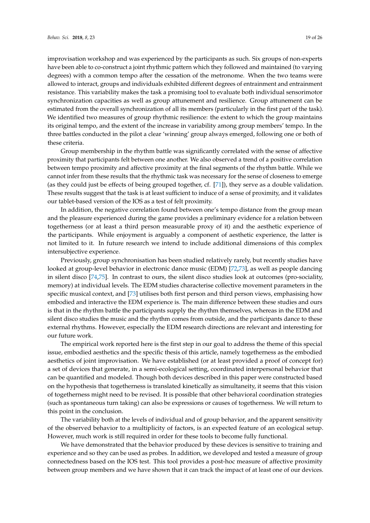improvisation workshop and was experienced by the participants as such. Six groups of non-experts have been able to co-construct a joint rhythmic pattern which they followed and maintained (to varying degrees) with a common tempo after the cessation of the metronome. When the two teams were allowed to interact, groups and individuals exhibited different degrees of entrainment and entrainment resistance. This variability makes the task a promising tool to evaluate both individual sensorimotor synchronization capacities as well as group attunement and resilience. Group attunement can be estimated from the overall synchronization of all its members (particularly in the first part of the task). We identified two measures of group rhythmic resilience: the extent to which the group maintains its original tempo, and the extent of the increase in variability among group members' tempo. In the three battles conducted in the pilot a clear 'winning' group always emerged, following one or both of these criteria.

Group membership in the rhythm battle was significantly correlated with the sense of affective proximity that participants felt between one another. We also observed a trend of a positive correlation between tempo proximity and affective proximity at the final segments of the rhythm battle. While we cannot infer from these results that the rhythmic task was necessary for the sense of closeness to emerge (as they could just be effects of being grouped together, cf. [\[71\]](#page-24-20)), they serve as a double validation. These results suggest that the task is at least sufficient to induce of a sense of proximity, and it validates our tablet-based version of the IOS as a test of felt proximity.

In addition, the negative correlation found between one's tempo distance from the group mean and the pleasure experienced during the game provides a preliminary evidence for a relation between togetherness (or at least a third person measurable proxy of it) and the aesthetic experience of the participants. While enjoyment is arguably a component of aesthetic experience, the latter is not limited to it. In future research we intend to include additional dimensions of this complex intersubjective experience.

Previously, group synchronisation has been studied relatively rarely, but recently studies have looked at group-level behavior in electronic dance music (EDM) [\[72](#page-24-21)[,73\]](#page-24-22), as well as people dancing in silent disco [\[74](#page-24-23)[,75\]](#page-24-24). In contrast to ours, the silent disco studies look at outcomes (pro-sociality, memory) at individual levels. The EDM studies characterise collective movement parameters in the specific musical context, and [\[73\]](#page-24-22) utilises both first person and third person views, emphasising how embodied and interactive the EDM experience is. The main difference between these studies and ours is that in the rhythm battle the participants supply the rhythm themselves, whereas in the EDM and silent disco studies the music and the rhythm comes from outside, and the participants dance to these external rhythms. However, especially the EDM research directions are relevant and interesting for our future work.

The empirical work reported here is the first step in our goal to address the theme of this special issue, embodied aesthetics and the specific thesis of this article, namely togetherness as the embodied aesthetics of joint improvisation. We have established (or at least provided a proof of concept for) a set of devices that generate, in a semi-ecological setting, coordinated interpersonal behavior that can be quantified and modeled. Though both devices described in this paper were constructed based on the hypothesis that togetherness is translated kinetically as simultaneity, it seems that this vision of togetherness might need to be revised. It is possible that other behavioral coordination strategies (such as spontaneous turn taking) can also be expressions or causes of togetherness. We will return to this point in the conclusion.

The variability both at the levels of individual and of group behavior, and the apparent sensitivity of the observed behavior to a multiplicity of factors, is an expected feature of an ecological setup. However, much work is still required in order for these tools to become fully functional.

We have demonstrated that the behavior produced by these devices is sensitive to training and experience and so they can be used as probes. In addition, we developed and tested a measure of group connectedness based on the IOS test. This tool provides a post-hoc measure of affective proximity between group members and we have shown that it can track the impact of at least one of our devices.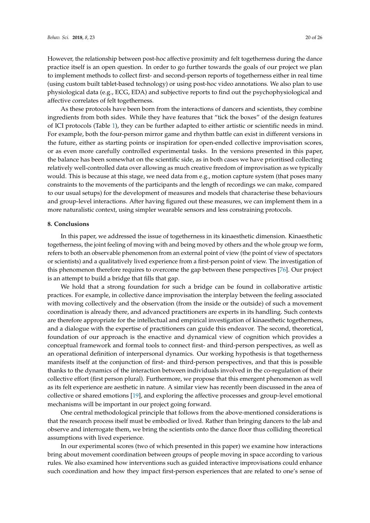However, the relationship between post-hoc affective proximity and felt togetherness during the dance practice itself is an open question. In order to go further towards the goals of our project we plan to implement methods to collect first- and second-person reports of togetherness either in real time (using custom built tablet-based technology) or using post-hoc video annotations. We also plan to use physiological data (e.g., ECG, EDA) and subjective reports to find out the psychophysiological and affective correlates of felt togetherness.

As these protocols have been born from the interactions of dancers and scientists, they combine ingredients from both sides. While they have features that "tick the boxes" of the design features of ICI protocols (Table [1\)](#page-8-0), they can be further adapted to either artistic or scientific needs in mind. For example, both the four-person mirror game and rhythm battle can exist in different versions in the future, either as starting points or inspiration for open-ended collective improvisation scores, or as even more carefully controlled experimental tasks. In the versions presented in this paper, the balance has been somewhat on the scientific side, as in both cases we have prioritised collecting relatively well-controlled data over allowing as much creative freedom of improvisation as we typically would. This is because at this stage, we need data from e.g., motion capture system (that poses many constraints to the movements of the participants and the length of recordings we can make, compared to our usual setups) for the development of measures and models that characterise these behaviours and group-level interactions. After having figured out these measures, we can implement them in a more naturalistic context, using simpler wearable sensors and less constraining protocols.

#### **8. Conclusions**

In this paper, we addressed the issue of togetherness in its kinaesthetic dimension. Kinaesthetic togetherness, the joint feeling of moving with and being moved by others and the whole group we form, refers to both an observable phenomenon from an external point of view (the point of view of spectators or scientists) and a qualitatively lived experience from a first-person point of view. The investigation of this phenomenon therefore requires to overcome the gap between these perspectives [\[76\]](#page-24-25). Our project is an attempt to build a bridge that fills that gap.

We hold that a strong foundation for such a bridge can be found in collaborative artistic practices. For example, in collective dance improvisation the interplay between the feeling associated with moving collectively and the observation (from the inside or the outside) of such a movement coordination is already there, and advanced practitioners are experts in its handling. Such contexts are therefore appropriate for the intellectual and empirical investigation of kinaesthetic togetherness, and a dialogue with the expertise of practitioners can guide this endeavor. The second, theoretical, foundation of our approach is the enactive and dynamical view of cognition which provides a conceptual framework and formal tools to connect first- and third-person perspectives, as well as an operational definition of interpersonal dynamics. Our working hypothesis is that togetherness manifests itself at the conjunction of first- and third-person perspectives, and that this is possible thanks to the dynamics of the interaction between individuals involved in the co-regulation of their collective effort (first person plural). Furthermore, we propose that this emergent phenomenon as well as its felt experience are aesthetic in nature. A similar view has recently been discussed in the area of collective or shared emotions [\[19\]](#page-22-17), and exploring the affective processes and group-level emotional mechanisms will be important in our project going forward.

One central methodological principle that follows from the above-mentioned considerations is that the research process itself must be embodied or lived. Rather than bringing dancers to the lab and observe and interrogate them, we bring the scientists onto the dance floor thus colliding theoretical assumptions with lived experience.

In our experimental scores (two of which presented in this paper) we examine how interactions bring about movement coordination between groups of people moving in space according to various rules. We also examined how interventions such as guided interactive improvisations could enhance such coordination and how they impact first-person experiences that are related to one's sense of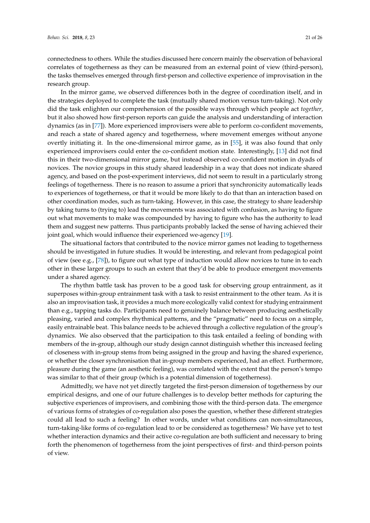connectedness to others. While the studies discussed here concern mainly the observation of behavioral correlates of togetherness as they can be measured from an external point of view (third-person), the tasks themselves emerged through first-person and collective experience of improvisation in the research group.

In the mirror game, we observed differences both in the degree of coordination itself, and in the strategies deployed to complete the task (mutually shared motion versus turn-taking). Not only did the task enlighten our comprehension of the possible ways through which people act *together*, but it also showed how first-person reports can guide the analysis and understanding of interaction dynamics (as in [\[77\]](#page-25-0)). More experienced improvisers were able to perform co-confident movements, and reach a state of shared agency and togetherness, where movement emerges without anyone overtly initiating it. In the one-dimensional mirror game, as in [\[55\]](#page-24-5), it was also found that only experienced improvisers could enter the co-confident motion state. Interestingly, [\[13\]](#page-22-11) did not find this in their two-dimensional mirror game, but instead observed co-confident motion in dyads of novices. The novice groups in this study shared leadership in a way that does not indicate shared agency, and based on the post-experiment interviews, did not seem to result in a particularly strong feelings of togetherness. There is no reason to assume a priori that synchronicity automatically leads to experiences of togetherness, or that it would be more likely to do that than an interaction based on other coordination modes, such as turn-taking. However, in this case, the strategy to share leadership by taking turns to (trying to) lead the movements was associated with confusion, as having to figure out what movements to make was compounded by having to figure who has the authority to lead them and suggest new patterns. Thus participants probably lacked the sense of having achieved their joint goal, which would influence their experienced we-agency [\[19\]](#page-22-17).

The situational factors that contributed to the novice mirror games not leading to togetherness should be investigated in future studies. It would be interesting, and relevant from pedagogical point of view (see e.g., [\[78\]](#page-25-1)), to figure out what type of induction would allow novices to tune in to each other in these larger groups to such an extent that they'd be able to produce emergent movements under a shared agency.

The rhythm battle task has proven to be a good task for observing group entrainment, as it superposes within-group entrainment task with a task to resist entrainment to the other team. As it is also an improvisation task, it provides a much more ecologically valid context for studying entrainment than e.g., tapping tasks do. Participants need to genuinely balance between producing aesthetically pleasing, varied and complex rhythmical patterns, and the "pragmatic" need to focus on a simple, easily entrainable beat. This balance needs to be achieved through a collective regulation of the group's dynamics. We also observed that the participation to this task entailed a feeling of bonding with members of the in-group, although our study design cannot distinguish whether this increased feeling of closeness with in-group stems from being assigned in the group and having the shared experience, or whether the closer synchronisation that in-group members experienced, had an effect. Furthermore, pleasure during the game (an aesthetic feeling), was correlated with the extent that the person's tempo was similar to that of their group (which is a potential dimension of togetherness).

Admittedly, we have not yet directly targeted the first-person dimension of togetherness by our empirical designs, and one of our future challenges is to develop better methods for capturing the subjective experiences of improvisers, and combining those with the third-person data. The emergence of various forms of strategies of co-regulation also poses the question, whether these different strategies could all lead to such a feeling? In other words, under what conditions can non-simultaneous, turn-taking-like forms of co-regulation lead to or be considered as togetherness? We have yet to test whether interaction dynamics and their active co-regulation are both sufficient and necessary to bring forth the phenomenon of togetherness from the joint perspectives of first- and third-person points of view.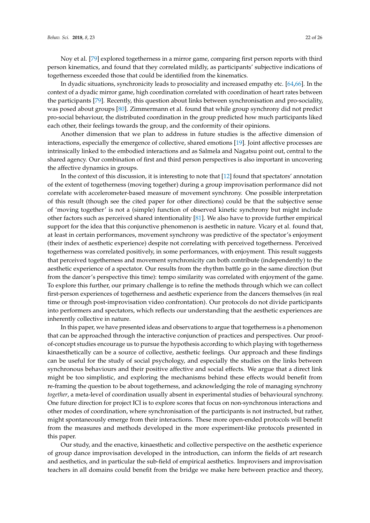Noy et al. [\[79\]](#page-25-2) explored togetherness in a mirror game, comparing first person reports with third person kinematics, and found that they correlated mildly, as participants' subjective indications of togetherness exceeded those that could be identified from the kinematics.

In dyadic situations, synchronicity leads to prosociality and increased empathy etc. [\[64,](#page-24-14)[66\]](#page-24-15). In the context of a dyadic mirror game, high coordination correlated with coordination of heart rates between the participants [\[79\]](#page-25-2). Recently, this question about links between synchronisation and pro-sociality, was posed about groups [\[80\]](#page-25-3). Zimmermann et al. found that while group synchrony did not predict pro-social behaviour, the distributed coordination in the group predicted how much participants liked each other, their feelings towards the group, and the conformity of their opinions.

Another dimension that we plan to address in future studies is the affective dimension of interactions, especially the emergence of collective, shared emotions [\[19\]](#page-22-17). Joint affective processes are intrinsically linked to the embodied interactions and as Salmela and Nagatsu point out, central to the shared agency. Our combination of first and third person perspectives is also important in uncovering the affective dynamics in groups.

In the context of this discussion, it is interesting to note that [\[12\]](#page-22-10) found that spectators' annotation of the extent of togetherness (moving together) during a group improvisation performance did not correlate with accelerometer-based measure of movement synchrony. One possible interpretation of this result (though see the cited paper for other directions) could be that the subjective sense of 'moving together' is not a (simple) function of observed kinetic synchrony but might include other factors such as perceived shared intentionality [\[81\]](#page-25-4). We also have to provide further empirical support for the idea that this conjunctive phenomenon is aesthetic in nature. Vicary et al. found that, at least in certain performances, movement synchrony was predictive of the spectator's enjoyment (their index of aesthetic experience) despite not correlating with perceived togetherness. Perceived togetherness was correlated positively, in some performances, with enjoyment. This result suggests that perceived togetherness and movement synchronicity can both contribute (independently) to the aesthetic experience of a spectator. Our results from the rhythm battle go in the same direction (but from the dancer's perspective this time): tempo similarity was correlated with enjoyment of the game. To explore this further, our primary challenge is to refine the methods through which we can collect first-person experiences of togetherness and aesthetic experience from the dancers themselves (in real time or through post-improvisation video confrontation). Our protocols do not divide participants into performers and spectators, which reflects our understanding that the aesthetic experiences are inherently collective in nature.

In this paper, we have presented ideas and observations to argue that togetherness is a phenomenon that can be approached through the interactive conjunction of practices and perspectives. Our proofof-concept studies encourage us to pursue the hypothesis according to which playing with togetherness kinaesthetically can be a source of collective, aesthetic feelings. Our approach and these findings can be useful for the study of social psychology, and especially the studies on the links between synchronous behaviours and their positive affective and social effects. We argue that a direct link might be too simplistic, and exploring the mechanisms behind these effects would benefit from re-framing the question to be about togetherness, and acknowledging the role of managing synchrony *together*, a meta-level of coordination usually absent in experimental studies of behavioural synchrony. One future direction for project ICI is to explore scores that focus on non-synchronous interactions and other modes of coordination, where synchronisation of the participants is not instructed, but rather, might spontaneously emerge from their interactions. These more open-ended protocols will benefit from the measures and methods developed in the more experiment-like protocols presented in this paper.

Our study, and the enactive, kinaesthetic and collective perspective on the aesthetic experience of group dance improvisation developed in the introduction, can inform the fields of art research and aesthetics, and in particular the sub-field of empirical aesthetics. Improvisers and improvisation teachers in all domains could benefit from the bridge we make here between practice and theory,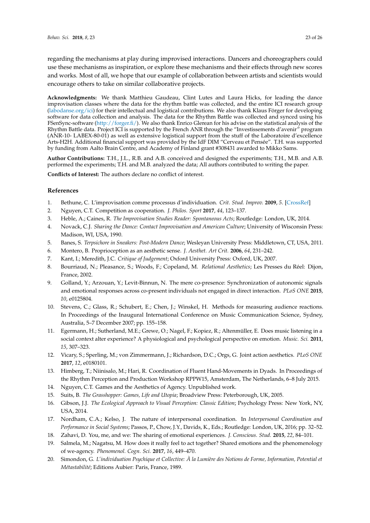regarding the mechanisms at play during improvised interactions. Dancers and choreographers could use these mechanisms as inspiration, or explore these mechanisms and their effects through new scores and works. Most of all, we hope that our example of collaboration between artists and scientists would encourage others to take on similar collaborative projects.

**Acknowledgments:** We thank Matthieu Gaudeau, Clint Lutes and Laura Hicks, for leading the dance improvisation classes where the data for the rhythm battle was collected, and the entire ICI research group [\(labodanse.org/ici\)](labodanse.org/ici) for their intellectual and logistical contributions. We also thank Klaus Förger for developing software for data collection and analysis. The data for the Rhythm Battle was collected and synced using his FSenSync-software [\(http://forger.fi/\)](http://forger.fi/). We also thank Enrico Glerean for his advise on the statistical analysis of the Rhythm Battle data. Project ICI is supported by the French ANR through the "Investissements d'avenir" program (ANR-10- LABEX-80-01) as well as extensive logistical support from the stuff of the Laboratoire d'excellence Arts-H2H. Additional financial support was provided by the IdF DIM "Cerveau et Pensée". T.H. was supported by funding from Aalto Brain Centre, and Academy of Finland grant #308431 awarded to Mikko Sams.

**Author Contributions:** T.H., J.L., R.B. and A.B. conceived and designed the experiments; T.H., M.B. and A.B. performed the experiments; T.H. and M.B. analyzed the data; All authors contributed to writing the paper.

**Conflicts of Interest:** The authors declare no conflict of interest.

# **References**

- <span id="page-22-0"></span>1. Bethune, C. L'improvisation comme processus d'individuation. *Crit. Stud. Improv.* **2009**, *5*. [\[CrossRef\]]( http://dx.doi.org/10.21083/csieci.v5i1.991)
- <span id="page-22-1"></span>2. Nguyen, C.T. Competition as cooperation. *J. Philos. Sport* **2017**, *44*, 123–137.
- <span id="page-22-2"></span>3. Heble, A.; Caines, R. *The Improvisation Studies Reader: Spontaneous Acts*; Routledge: London, UK, 2014.
- <span id="page-22-3"></span>4. Novack, C.J. *Sharing the Dance: Contact Improvisation and American Culture*; University of Wisconsin Press: Madison, WI, USA, 1990.
- <span id="page-22-4"></span>5. Banes, S. *Terpsichore in Sneakers: Post-Modern Dance*; Wesleyan University Press: Middletown, CT, USA, 2011.
- <span id="page-22-5"></span>6. Montero, B. Proprioception as an aesthetic sense. *J. Aesthet. Art Crit.* **2006**, *64*, 231–242.
- <span id="page-22-6"></span>7. Kant, I.; Meredith, J.C. *Critique of Judgement*; Oxford University Press: Oxford, UK, 2007.
- <span id="page-22-7"></span>8. Bourriaud, N.; Pleasance, S.; Woods, F.; Copeland, M. *Relational Aesthetics*; Les Presses du Réel: Dijon, France, 2002.
- <span id="page-22-8"></span>9. Golland, Y.; Arzouan, Y.; Levit-Binnun, N. The mere co-presence: Synchronization of autonomic signals and emotional responses across co-present individuals not engaged in direct interaction. *PLoS ONE* **2015**, *10*, e0125804.
- <span id="page-22-9"></span>10. Stevens, C.; Glass, R.; Schubert, E.; Chen, J.; Winskel, H. Methods for measuring audience reactions. In Proceedings of the Inaugural International Conference on Music Communication Science, Sydney, Australia, 5–7 December 2007; pp. 155–158.
- 11. Egermann, H.; Sutherland, M.E.; Grewe, O.; Nagel, F.; Kopiez, R.; Altenmüller, E. Does music listening in a social context alter experience? A physiological and psychological perspective on emotion. *Music. Sci.* **2011**, *15*, 307–323.
- <span id="page-22-10"></span>12. Vicary, S.; Sperling, M.; von Zimmermann, J.; Richardson, D.C.; Orgs, G. Joint action aesthetics. *PLoS ONE* **2017**, *12*, e0180101.
- <span id="page-22-11"></span>13. Himberg, T.; Niinisalo, M.; Hari, R. Coordination of Fluent Hand-Movements in Dyads. In Proceedings of the Rhythm Perception and Production Workshop RPPW15, Amsterdam, The Netherlands, 6–8 July 2015.
- <span id="page-22-12"></span>14. Nguyen, C.T. Games and the Aesthetics of Agency. Unpublished work.
- <span id="page-22-13"></span>15. Suits, B. *The Grasshopper: Games, Life and Utopia*; Broadview Press: Peterborough, UK, 2005.
- <span id="page-22-14"></span>16. Gibson, J.J. *The Ecological Approach to Visual Perception: Classic Edition*; Psychology Press: New York, NY, USA, 2014.
- <span id="page-22-15"></span>17. Nordham, C.A.; Kelso, J. The nature of interpersonal coordination. In *Interpersonal Coordination and Performance in Social Systems*; Passos, P., Chow, J.Y., Davids, K., Eds.; Routledge: London, UK, 2016; pp. 32–52.
- <span id="page-22-16"></span>18. Zahavi, D. You, me, and we: The sharing of emotional experiences. *J. Conscious. Stud.* **2015**, *22*, 84–101.
- <span id="page-22-17"></span>19. Salmela, M.; Nagatsu, M. How does it really feel to act together? Shared emotions and the phenomenology of we-agency. *Phenomenol. Cogn. Sci.* **2017**, *16*, 449–470.
- <span id="page-22-18"></span>20. Simondon, G. *L'individuation Psychique et Collective: À la Lumière des Notions de Forme, Information, Potential et Métastabilité*; Editions Aubier: Paris, France, 1989.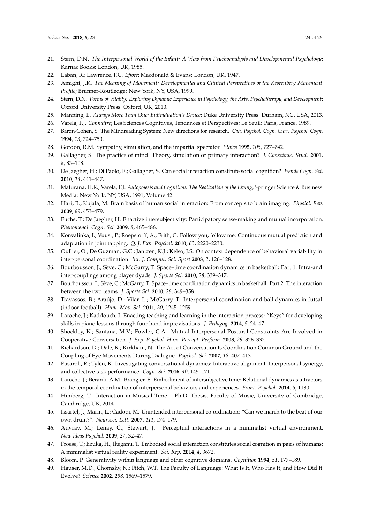- <span id="page-23-0"></span>21. Stern, D.N. *The Interpersonal World of the Infant: A View from Psychoanalysis and Developmental Psychology*; Karnac Books: London, UK, 1985.
- <span id="page-23-1"></span>22. Laban, R.; Lawrence, F.C. *Effort*; Macdonald & Evans: London, UK, 1947.
- <span id="page-23-2"></span>23. Amighi, J.K. *The Meaning of Movement: Developmental and Clinical Perspectives of the Kestenberg Movement Profile*; Brunner-Routledge: New York, NY, USA, 1999.
- <span id="page-23-3"></span>24. Stern, D.N. *Forms of Vitality: Exploring Dynamic Experience in Psychology, the Arts, Psychotherapy, and Development*; Oxford University Press: Oxford, UK, 2010.
- <span id="page-23-4"></span>25. Manning, E. *Always More Than One: Individuation's Dance*; Duke University Press: Durham, NC, USA, 2013.
- <span id="page-23-5"></span>26. Varela, F.J. *Connaître*; Les Sciences Cognitives, Tendances et Perspectives; Le Seuil: Paris, France, 1989.
- <span id="page-23-6"></span>27. Baron-Cohen, S. The Mindreading System: New directions for research. *Cah. Psychol. Cogn. Curr. Psychol. Cogn.* **1994**, *13*, 724–750.
- <span id="page-23-7"></span>28. Gordon, R.M. Sympathy, simulation, and the impartial spectator. *Ethics* **1995**, *105*, 727–742.
- <span id="page-23-8"></span>29. Gallagher, S. The practice of mind. Theory, simulation or primary interaction? *J. Conscious. Stud.* **2001**, *8*, 83–108.
- <span id="page-23-9"></span>30. De Jaegher, H.; Di Paolo, E.; Gallagher, S. Can social interaction constitute social cognition? *Trends Cogn. Sci.* **2010**, *14*, 441–447.
- <span id="page-23-10"></span>31. Maturana, H.R.; Varela, F.J. *Autopoiesis and Cognition: The Realization of the Living*; Springer Science & Business Media: New York, NY, USA, 1991; Volume 42.
- <span id="page-23-11"></span>32. Hari, R.; Kujala, M. Brain basis of human social interaction: From concepts to brain imaging. *Physiol. Rev.* **2009**, *89*, 453–479.
- <span id="page-23-12"></span>33. Fuchs, T.; De Jaegher, H. Enactive intersubjectivity: Participatory sense-making and mutual incorporation. *Phenomenol. Cogn. Sci.* **2009**, *8*, 465–486.
- <span id="page-23-13"></span>34. Konvalinka, I.; Vuust, P.; Roepstorff, A.; Frith, C. Follow you, follow me: Continuous mutual prediction and adaptation in joint tapping. *Q. J. Exp. Psychol.* **2010**, *63*, 2220–2230.
- <span id="page-23-14"></span>35. Oullier, O.; De Guzman, G.C.; Jantzen, K.J.; Kelso, J.S. On context dependence of behavioral variability in inter-personal coordination. *Int. J. Comput. Sci. Sport* **2003**, *2*, 126–128.
- <span id="page-23-15"></span>36. Bourbousson, J.; Sève, C.; McGarry, T. Space–time coordination dynamics in basketball: Part 1. Intra-and inter-couplings among player dyads. *J. Sports Sci.* **2010**, *28*, 339–347.
- 37. Bourbousson, J.; Sève, C.; McGarry, T. Space–time coordination dynamics in basketball: Part 2. The interaction between the two teams. *J. Sports Sci.* **2010**, *28*, 349–358.
- <span id="page-23-16"></span>38. Travassos, B.; Araújo, D.; Vilar, L.; McGarry, T. Interpersonal coordination and ball dynamics in futsal (indoor football). *Hum. Mov. Sci.* **2011**, *30*, 1245–1259.
- <span id="page-23-17"></span>39. Laroche, J.; Kaddouch, I. Enacting teaching and learning in the interaction process: "Keys" for developing skills in piano lessons through four-hand improvisations. *J. Pedagog.* **2014**, *5*, 24–47.
- <span id="page-23-18"></span>40. Shockley, K.; Santana, M.V.; Fowler, C.A. Mutual Interpersonal Postural Constraints Are Involved in Cooperative Conversation. *J. Exp. Psychol.-Hum. Percept. Perform.* **2003**, *29*, 326–332.
- 41. Richardson, D.; Dale, R.; Kirkham, N. The Art of Conversation Is Coordination Common Ground and the Coupling of Eye Movements During Dialogue. *Psychol. Sci.* **2007**, *18*, 407–413.
- <span id="page-23-19"></span>42. Fusaroli, R.; Tylén, K. Investigating conversational dynamics: Interactive alignment, Interpersonal synergy, and collective task performance. *Cogn. Sci.* **2016**, *40*, 145–171.
- <span id="page-23-20"></span>43. Laroche, J.; Berardi, A.M.; Brangier, E. Embodiment of intersubjective time: Relational dynamics as attractors in the temporal coordination of interpersonal behaviors and experiences. *Front. Psychol.* **2014**, *5*, 1180.
- <span id="page-23-21"></span>44. Himberg, T. Interaction in Musical Time. Ph.D. Thesis, Faculty of Music, University of Cambridge, Cambridge, UK, 2014.
- <span id="page-23-22"></span>45. Issartel, J.; Marin, L.; Cadopi, M. Unintended interpersonal co-ordination: "Can we march to the beat of our own drum?". *Neurosci. Lett.* **2007**, *411*, 174–179.
- <span id="page-23-23"></span>46. Auvray, M.; Lenay, C.; Stewart, J. Perceptual interactions in a minimalist virtual environment. *New Ideas Psychol.* **2009**, *27*, 32–47.
- <span id="page-23-24"></span>47. Froese, T.; Iizuka, H.; Ikegami, T. Embodied social interaction constitutes social cognition in pairs of humans: A minimalist virtual reality experiment. *Sci. Rep.* **2014**, *4*, 3672.
- <span id="page-23-25"></span>48. Bloom, P. Generativity within language and other cognitive domains. *Cognition* **1994**, *51*, 177–189.
- <span id="page-23-26"></span>49. Hauser, M.D.; Chomsky, N.; Fitch, W.T. The Faculty of Language: What Is It, Who Has It, and How Did It Evolve? *Science* **2002**, *298*, 1569–1579.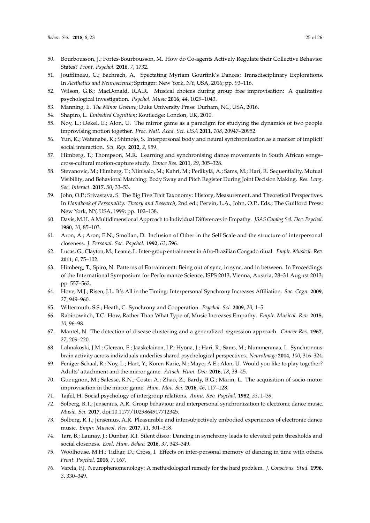- <span id="page-24-0"></span>50. Bourbousson, J.; Fortes-Bourbousson, M. How do Co-agents Actively Regulate their Collective Behavior States? *Front. Psychol.* **2016**, *7*, 1732.
- <span id="page-24-1"></span>51. Joufflineau, C.; Bachrach, A. Spectating Myriam Gourfink's Dances; Transdisciplinary Explorations. In *Aesthetics and Neuroscience*; Springer: New York, NY, USA, 2016; pp. 93–116.
- <span id="page-24-2"></span>52. Wilson, G.B.; MacDonald, R.A.R. Musical choices during group free improvisation: A qualitative psychological investigation. *Psychol. Music* **2016**, *44*, 1029–1043.
- <span id="page-24-4"></span><span id="page-24-3"></span>53. Manning, E. *The Minor Gesture*; Duke University Press: Durham, NC, USA, 2016.
- 54. Shapiro, L. *Embodied Cognition*; Routledge: London, UK, 2010.
- <span id="page-24-5"></span>55. Noy, L.; Dekel, E.; Alon, U. The mirror game as a paradigm for studying the dynamics of two people improvising motion together. *Proc. Natl. Acad. Sci. USA* **2011**, *108*, 20947–20952.
- <span id="page-24-6"></span>56. Yun, K.; Watanabe, K.; Shimojo, S. Interpersonal body and neural synchronization as a marker of implicit social interaction. *Sci. Rep.* **2012**, *2*, 959.
- <span id="page-24-7"></span>57. Himberg, T.; Thompson, M.R. Learning and synchronising dance movements in South African songs– cross-cultural motion-capture study. *Dance Res.* **2011**, *29*, 305–328.
- <span id="page-24-8"></span>58. Stevanovic, M.; Himberg, T.; Niinisalo, M.; Kahri, M.; Peräkylä, A.; Sams, M.; Hari, R. Sequentiality, Mutual Visibility, and Behavioral Matching: Body Sway and Pitch Register During Joint Decision Making. *Res. Lang. Soc. Interact.* **2017**, *50*, 33–53.
- <span id="page-24-9"></span>59. John, O.P.; Srivastava, S. The Big Five Trait Taxonomy: History, Measurement, and Theoretical Perspectives. In *Handbook of Personality: Theory and Research*, 2nd ed.; Pervin, L.A., John, O.P., Eds.; The Guilford Press: New York, NY, USA, 1999; pp. 102–138.
- <span id="page-24-10"></span>60. Davis, M.H. A Multidimensional Approach to Individual Differences in Empathy. *JSAS Catalog Sel. Doc. Psychol.* **1980**, *10*, 85–103.
- <span id="page-24-11"></span>61. Aron, A.; Aron, E.N.; Smollan, D. Inclusion of Other in the Self Scale and the structure of interpersonal closeness. *J. Personal. Soc. Psychol.* **1992**, *63*, 596.
- <span id="page-24-12"></span>62. Lucas, G.; Clayton, M.; Leante, L. Inter-group entrainment in Afro-Brazilian Congado ritual. *Empir. Musicol. Rev.* **2011**, *6*, 75–102.
- <span id="page-24-13"></span>63. Himberg, T.; Spiro, N. Patterns of Entrainment: Being out of sync, in sync, and in between. In Proceedings of the International Symposium for Performance Science, ISPS 2013, Vienna, Austria, 28–31 August 2013; pp. 557–562.
- <span id="page-24-14"></span>64. Hove, M.J.; Risen, J.L. It's All in the Timing: Interpersonal Synchrony Increases Affiliation. *Soc. Cogn.* **2009**, *27*, 949–960.
- 65. Wiltermuth, S.S.; Heath, C. Synchrony and Cooperation. *Psychol. Sci.* **2009**, *20*, 1–5.
- <span id="page-24-15"></span>66. Rabinowitch, T.C. How, Rather Than What Type of, Music Increases Empathy. *Empir. Musicol. Rev.* **2015**, *10*, 96–98.
- <span id="page-24-16"></span>67. Mantel, N. The detection of disease clustering and a generalized regression approach. *Cancer Res.* **1967**, *27*, 209–220.
- <span id="page-24-17"></span>68. Lahnakoski, J.M.; Glerean, E.; Jääskeläinen, I.P.; Hyönä, J.; Hari, R.; Sams, M.; Nummenmaa, L. Synchronous brain activity across individuals underlies shared psychological perspectives. *NeuroImage* **2014**, *100*, 316–324.
- <span id="page-24-18"></span>69. Feniger-Schaal, R.; Noy, L.; Hart, Y.; Koren-Karie, N.; Mayo, A.E.; Alon, U. Would you like to play together? Adults' attachment and the mirror game. *Attach. Hum. Dev.* **2016**, *18*, 33–45.
- <span id="page-24-19"></span>70. Gueugnon, M.; Salesse, R.N.; Coste, A.; Zhao, Z.; Bardy, B.G.; Marin, L. The acquisition of socio-motor improvisation in the mirror game. *Hum. Mov. Sci.* **2016**, *46*, 117–128.
- <span id="page-24-20"></span>71. Tajfel, H. Social psychology of intergroup relations. *Annu. Rev. Psychol.* **1982**, *33*, 1–39.
- <span id="page-24-21"></span>72. Solberg, R.T.; Jensenius, A.R. Group behaviour and interpersonal synchronization to electronic dance music. *Music. Sci.* **2017**, doi:10.1177/1029864917712345.
- <span id="page-24-22"></span>73. Solberg, R.T.; Jensenius, A.R. Pleasurable and intersubjectively embodied experiences of electronic dance music. *Empir. Musicol. Rev.* **2017**, *11*, 301–318.
- <span id="page-24-23"></span>74. Tarr, B.; Launay, J.; Dunbar, R.I. Silent disco: Dancing in synchrony leads to elevated pain thresholds and social closeness. *Evol. Hum. Behav.* **2016**, *37*, 343–349.
- <span id="page-24-24"></span>75. Woolhouse, M.H.; Tidhar, D.; Cross, I. Effects on inter-personal memory of dancing in time with others. *Front. Psychol.* **2016**, *7*, 167.
- <span id="page-24-25"></span>76. Varela, F.J. Neurophenomenology: A methodological remedy for the hard problem. *J. Conscious. Stud.* **1996**, *3*, 330–349.